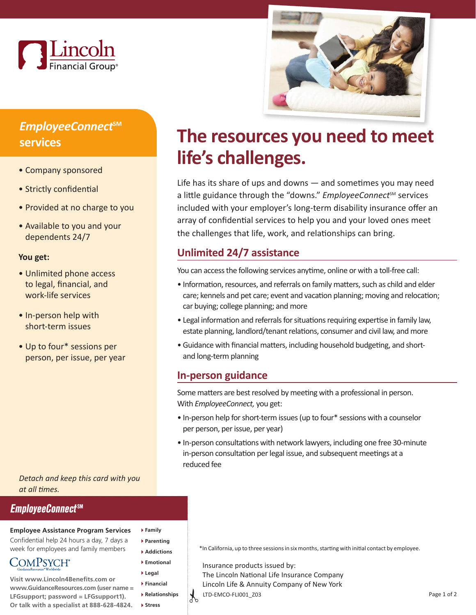



## *EmployeeConnect***SM services**

- Company sponsored
- Strictly confidential
- Provided at no charge to you
- Available to you and your dependents 24/7

#### **You get:**

- Unlimited phone access to legal, financial, and work-life services
- In-person help with short-term issues
- Up to four\* sessions per person, per issue, per year

*Detach and keep this card with you at all times.*

### **EmployeeConnectSM**

#### **Employee Assistance Program Services**

Confidential help 24 hours a day, 7 days a week for employees and family members

**COMPSYCH**<sup>®</sup>

**Visit www.Lincoln4Benefits.com or www.GuidanceResources.com (user name = LFGsupport; password = LFGsupport1). Or talk with a specialist at 888-628-4824.**

# **The resources you need to meet life's challenges.**

Life has its share of ups and downs — and sometimes you may need a little guidance through the "downs." *EmployeeConnect<sup>sM</sup>* services included with your employer's long-term disability insurance offer an array of confidential services to help you and your loved ones meet the challenges that life, work, and relationships can bring.

## **Unlimited 24/7 assistance**

You can access the following services anytime, online or with a toll-free call:

- Information, resources, and referrals on family matters, such as child and elder care; kennels and pet care; event and vacation planning; moving and relocation; car buying; college planning; and more
- Legal information and referrals for situations requiring expertise in family law, estate planning, landlord/tenant relations, consumer and civil law, and more
- Guidance with financial matters, including household budgeting, and shortand long-term planning

### **In-person guidance**

Some matters are best resolved by meeting with a professional in person. With *EmployeeConnect,* you get:

- In-person help for short-term issues (up to four\* sessions with a counselor per person, per issue, per year)
- In-person consultations with network lawyers, including one free 30-minute in-person consultation per legal issue, and subsequent meetings at a reduced fee

**Parenting Addictions**

**Family**

- **Emotional**
- **Legal**
- **Financial**
- **Relationships Stress**

 $\gamma$ 

\*In California, up to three sessions in six months, starting with initial contact by employee.

Insurance products issued by: The Lincoln National Life Insurance Company Lincoln Life & Annuity Company of New York LTD-EMCO-FLI001\_Z03 Page 1 of 2